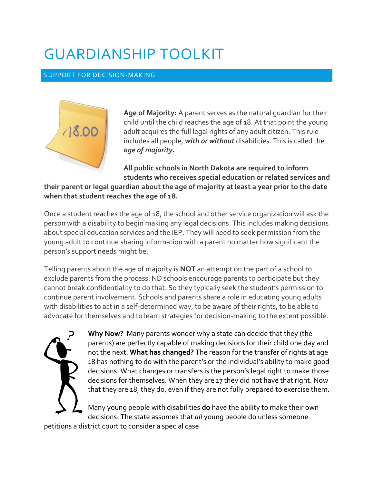# GUARDIANSHIP TOOLKIT

#### SUPPORT FOR DECISION-MAKING



**Age of Majority:** A parent serves as the natural guardian for their child until the child reaches the age of 18. At that point the young adult acquires the full legal rights of any adult citizen. This rule includes all people, *with or without* disabilities. This is called the *age of majority***.**

**All public schools in North Dakota are required to inform students who receives special education or related services and** 

**their parent or legal guardian about the age of majority at least a year prior to the date when that student reaches the age of 18.** 

Once a student reaches the age of 18, the school and other service organization will ask the person with a disability to begin making any legal decisions. This includes making decisions about special education services and the IEP. They will need to seek permission from the young adult to continue sharing information with a parent no matter how significant the person's support needs might be.

Telling parents about the age of majority is **NOT** an attempt on the part of a school to exclude parents from the process. ND schools encourage parents to participate but they cannot break confidentiality to do that. So they typically seek the student's permission to continue parent involvement. Schools and parents share a role in educating young adults with disabilities to act in a self-determined way, to be aware of their rights, to be able to advocate for themselves and to learn strategies for decision-making to the extent possible.



**Why Now?** Many parents wonder why a state can decide that they (the parents) are perfectly capable of making decisions for their child one day and not the next. **What has changed?** The reason for the transfer of rights at age 18 has nothing to do with the parent's or the individual's ability to make good decisions. What changes or transfers is the person's legal right to make those decisions for themselves. When they are 17 they did not have that right. Now that they are 18, they do, even if they are not fully prepared to exercise them.

Many young people with disabilities **do** have the ability to make their own decisions. The state assumes that *all* young people do unless someone

petitions a district court to consider a special case.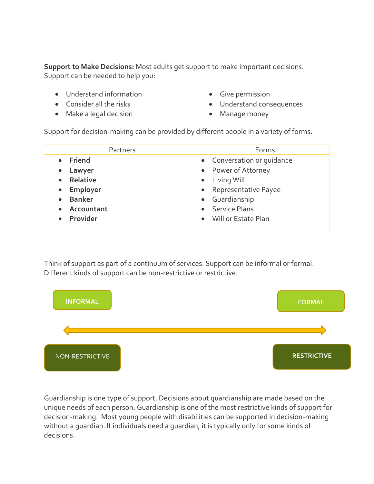**Support to Make Decisions:** Most adults get support to make important decisions. Support can be needed to help you:

- Understand information
- Consider all the risks
- Make a legal decision
- Give permission
- Understand consequences
- Manage money

Support for decision-making can be provided by different people in a variety of forms.

| Partners      | Forms                      |
|---------------|----------------------------|
| • Friend      | • Conversation or quidance |
| Lawyer        | • Power of Attorney        |
| Relative      | • Living Will              |
| Employer      | • Representative Payee     |
| <b>Banker</b> | • Guardianship             |
| • Accountant  | • Service Plans            |
| • Provider    | • Will or Estate Plan      |

Think of support as part of a continuum of services. Support can be informal or formal. Different kinds of support can be non-restrictive or restrictive.



Guardianship is one type of support. Decisions about guardianship are made based on the unique needs of each person. Guardianship is one of the most restrictive kinds of support for decision-making. Most young people with disabilities can be supported in decision-making without a guardian. If individuals need a guardian, it is typically only for some kinds of decisions.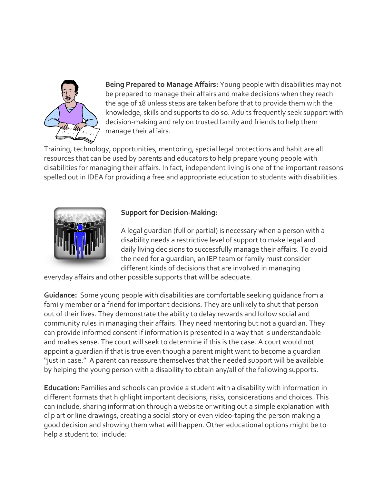

**Being Prepared to Manage Affairs:** Young people with disabilities may not be prepared to manage their affairs and make decisions when they reach the age of 18 unless steps are taken before that to provide them with the knowledge, skills and supports to do so. Adults frequently seek support with decision-making and rely on trusted family and friends to help them manage their affairs.

Training, technology, opportunities, mentoring, special legal protections and habit are all resources that can be used by parents and educators to help prepare young people with disabilities for managing their affairs. In fact, independent living is one of the important reasons spelled out in IDEA for providing a free and appropriate education to students with disabilities.



# **Support for Decision-Making:**

A legal guardian (full or partial) is necessary when a person with a disability needs a restrictive level of support to make legal and daily living decisions to successfully manage their affairs. To avoid the need for a guardian, an IEP team or family must consider different kinds of decisions that are involved in managing

everyday affairs and other possible supports that will be adequate.

**Guidance:** Some young people with disabilities are comfortable seeking guidance from a family member or a friend for important decisions. They are unlikely to shut that person out of their lives. They demonstrate the ability to delay rewards and follow social and community rules in managing their affairs. They need mentoring but not a guardian. They can provide informed consent if information is presented in a way that is understandable and makes sense. The court will seek to determine if this is the case. A court would not appoint a guardian if that is true even though a parent might want to become a guardian "just in case." A parent can reassure themselves that the needed support will be available by helping the young person with a disability to obtain any/all of the following supports.

**Education:** Families and schools can provide a student with a disability with information in different formats that highlight important decisions, risks, considerations and choices. This can include, sharing information through a website or writing out a simple explanation with clip art or line drawings, creating a social story or even video-taping the person making a good decision and showing them what will happen. Other educational options might be to help a student to: include: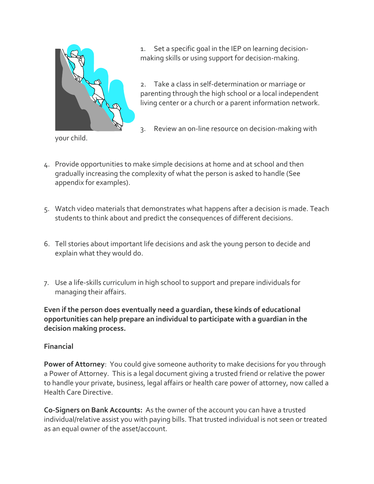

1. Set a specific goal in the IEP on learning decisionmaking skills or using support for decision-making.

2. Take a class in self-determination or marriage or parenting through the high school or a local independent living center or a church or a parent information network.

3. Review an on-line resource on decision-making with

your child.

- 4. Provide opportunities to make simple decisions at home and at school and then gradually increasing the complexity of what the person is asked to handle (See appendix for examples).
- 5. Watch video materials that demonstrates what happens after a decision is made. Teach students to think about and predict the consequences of different decisions.
- 6. Tell stories about important life decisions and ask the young person to decide and explain what they would do.
- 7. Use a life-skills curriculum in high school to support and prepare individuals for managing their affairs.

**Even if the person does eventually need a guardian, these kinds of educational opportunities can help prepare an individual to participate with a guardian in the decision making process.**

#### **Financial**

**Power of Attorney**: You could give someone authority to make decisions for you through a Power of Attorney. This is a legal document giving a trusted friend or relative the power to handle your private, business, legal affairs or health care power of attorney, now called a Health Care Directive.

**Co-Signers on Bank Accounts:** As the owner of the account you can have a trusted individual/relative assist you with paying bills. That trusted individual is not seen or treated as an equal owner of the asset/account.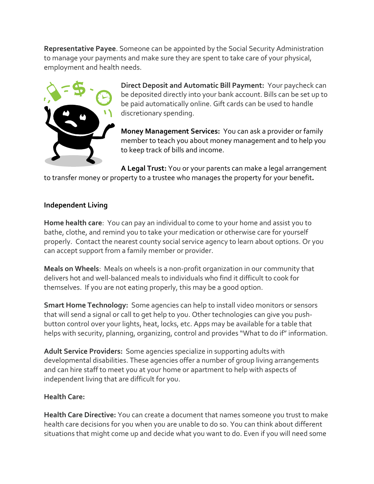**Representative Payee**. Someone can be appointed by the Social Security Administration to manage your payments and make sure they are spent to take care of your physical, employment and health needs.



**Direct Deposit and Automatic Bill Payment:** Your paycheck can be deposited directly into your bank account. Bills can be set up to be paid automatically online. Gift cards can be used to handle discretionary spending.

**Money Management Services:** You can ask a provider or family member to teach you about money management and to help you to keep track of bills and income.

**A Legal Trust:** You or your parents can make a legal arrangement to transfer money or property to a trustee who manages the property for your benefit**.**

#### **Independent Living**

**Home health care**: You can pay an individual to come to your home and assist you to bathe, clothe, and remind you to take your medication or otherwise care for yourself properly. Contact the nearest county social service agency to learn about options. Or you can accept support from a family member or provider.

**Meals on Wheels**: Meals on wheels is a non-profit organization in our community that delivers hot and well-balanced meals to individuals who find it difficult to cook for themselves. If you are not eating properly, this may be a good option.

**Smart Home Technology:** Some agencies can help to install video monitors or sensors that will send a signal or call to get help to you. Other technologies can give you pushbutton control over your lights, heat, locks, etc. Apps may be available for a table that helps with security, planning, organizing, control and provides "What to do if" information.

**Adult Service Providers:** Some agencies specialize in supporting adults with developmental disabilities. These agencies offer a number of group living arrangements and can hire staff to meet you at your home or apartment to help with aspects of independent living that are difficult for you.

#### **Health Care:**

**Health Care Directive:** You can create a document that names someone you trust to make health care decisions for you when you are unable to do so. You can think about different situations that might come up and decide what you want to do. Even if you will need some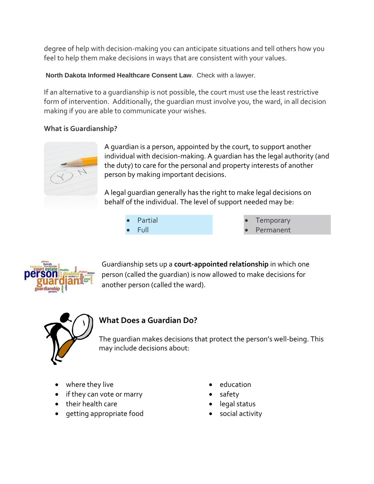degree of help with decision-making you can anticipate situations and tell others how you feel to help them make decisions in ways that are consistent with your values.

#### **North Dakota Informed Healthcare Consent Law**. Check with a lawyer.

If an alternative to a guardianship is not possible, the court must use the least restrictive form of intervention. Additionally, the guardian must involve you, the ward, in all decision making if you are able to communicate your wishes.

# **What is Guardianship?**



A guardian is a person, appointed by the court, to support another individual with decision-making. A guardian has the legal authority (and the duty) to care for the personal and property interests of another person by making important decisions.

A legal guardian generally has the right to make legal decisions on behalf of the individual. The level of support needed may be:

> Partial Full

 Temporary Permanent



Guardianship sets up a **court-appointed relationship** in which one person (called the guardian) is now allowed to make decisions for another person (called the ward).



# **What Does a Guardian Do?**

The guardian makes decisions that protect the person's well-being. This may include decisions about:

- where they live
- if they can vote or marry
- their health care
- getting appropriate food
- education
- safety
- legal status
- social activity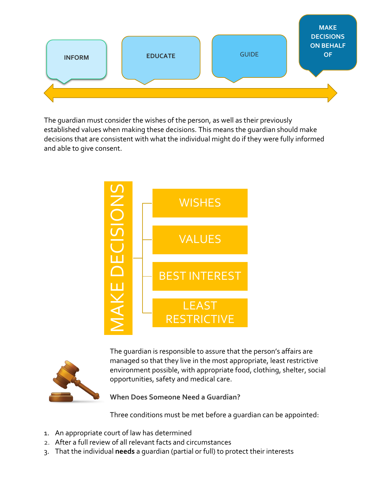

The guardian must consider the wishes of the person, as well as their previously established values when making these decisions. This means the guardian should make decisions that are consistent with what the individual might do if they were fully informed and able to give consent.





The guardian is responsible to assure that the person's affairs are managed so that they live in the most appropriate, least restrictive environment possible, with appropriate food, clothing, shelter, social opportunities, safety and medical care.

**When Does Someone Need a Guardian?**

Three conditions must be met before a guardian can be appointed:

- 1. An appropriate court of law has determined
- 2. After a full review of all relevant facts and circumstances
-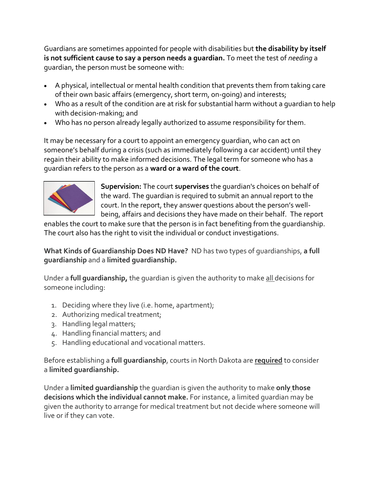Guardians are sometimes appointed for people with disabilities but **the disability by itself is not sufficient cause to say a person needs a guardian.** To meet the test of *needing* a guardian, the person must be someone with:

- A physical, intellectual or mental health condition that prevents them from taking care of their own basic affairs (emergency, short term, on-going) and interests;
- Who as a result of the condition are at risk for substantial harm without a guardian to help with decision-making; and
- Who has no person already legally authorized to assume responsibility for them.

It may be necessary for a court to appoint an emergency guardian, who can act on someone's behalf during a crisis (such as immediately following a car accident) until they regain their ability to make informed decisions. The legal term for someone who has a guardian refers to the person as a **ward or a ward of the court**.



**Supervision:** The court **supervises** the guardian's choices on behalf of the ward. The guardian is required to submit an annual report to the court. In the report, they answer questions about the person's wellbeing, affairs and decisions they have made on their behalf. The report

enables the court to make sure that the person is in fact benefiting from the guardianship. The court also has the right to visit the individual or conduct investigations.

**What Kinds of Guardianship Does ND Have?** ND has two types of guardianships, **a full guardianship** and a **limited guardianship.**

Under a **full guardianship,** the guardian is given the authority to make all decisions for someone including:

- 1. Deciding where they live (i.e. home, apartment);
- 2. Authorizing medical treatment;
- 3. Handling legal matters;
- 4. Handling financial matters; and
- 5. Handling educational and vocational matters.

Before establishing a **full guardianship**, courts in North Dakota are **required** to consider a **limited guardianship.**

Under a **limited guardianship** the guardian is given the authority to make **only those decisions which the individual cannot make.** For instance, a limited guardian may be given the authority to arrange for medical treatment but not decide where someone will live or if they can vote.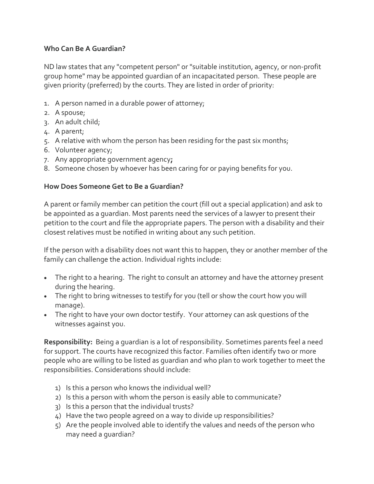### **Who Can Be A Guardian?**

ND law states that any "competent person" or "suitable institution, agency, or non-profit group home" may be appointed guardian of an incapacitated person. These people are given priority (preferred) by the courts. They are listed in order of priority:

- 1. A person named in a durable power of attorney;
- 2. A spouse;
- 3. An adult child;
- 4. A parent;
- 5. A relative with whom the person has been residing for the past six months;
- 6. Volunteer agency;
- 7. Any appropriate government agency**;**
- 8. Someone chosen by whoever has been caring for or paying benefits for you.

# **How Does Someone Get to Be a Guardian?**

A parent or family member can petition the court (fill out a special application) and ask to be appointed as a guardian. Most parents need the services of a lawyer to present their petition to the court and file the appropriate papers. The person with a disability and their closest relatives must be notified in writing about any such petition.

If the person with a disability does not want this to happen, they or another member of the family can challenge the action. Individual rights include:

- The right to a hearing. The right to consult an attorney and have the attorney present during the hearing.
- The right to bring witnesses to testify for you (tell or show the court how you will manage).
- The right to have your own doctor testify. Your attorney can ask questions of the witnesses against you.

**Responsibility:** Being a guardian is a lot of responsibility. Sometimes parents feel a need for support. The courts have recognized this factor. Families often identify two or more people who are willing to be listed as guardian and who plan to work together to meet the responsibilities. Considerations should include:

- 1) Is this a person who knows the individual well?
- 2) Is this a person with whom the person is easily able to communicate?
- 3) Is this a person that the individual trusts?
- 4) Have the two people agreed on a way to divide up responsibilities?
- 5) Are the people involved able to identify the values and needs of the person who may need a guardian?